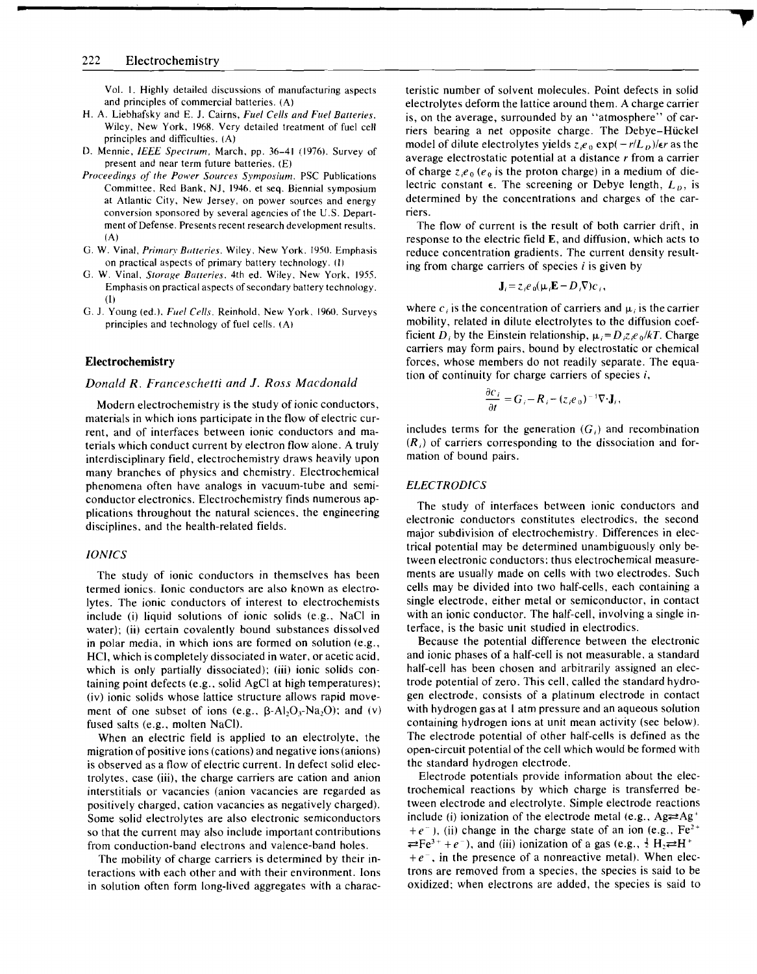**-**

Vol. 1. Highly detailed discussions of manufacturing aspects and principles of commercial batteries. (A)

- H. A. Liebhafsky and E. J. Cairns, *Fuel Cells and Fuel Batteries*. Wiley, New York, 1968. Very detailed treatment of fuel cell principles and difficulties. (A)
- D. Mennie, *IEEE Spectrum.* March, pp. 36-41 (1976). Survey of present and near term future batteries. (E)
- *Proceedings of the Power Sources Symposium.* PSC Publications Committee, Red Bank, NJ, 1946. et seq. Biennial symposium at Atlantic City, New Jersey. on power sources and energy conversion sponsored by several agencies of the U.S. Department of Defense. Presents recent research development results. (A)
- G. W. Vinal, *Primary Batteries.* Wiley, New York. 1950. Emphasis on practical aspects of primary battery technology. (I)
- G. W. Vinal. *Storage Batteries.* 4th ed. Wiley. New York, 1955. Emphasis on practical aspects of secondary battery technology. (1)
- G. J. Young (ed.), *Fuel Cells.* Reinhold, New York. 1960. Surveys principles and technology of fuel cells. (A)

## **Electrochemistry**

#### *Donald R. Franceschetti and* J. *Ross Macdonald*

Modern electrochemistry is the study of ionic conductors, materials in which ions participate in the flow of electric current, and of interfaces between ionic conductors and materials which conduct current by electron flow alone. A truly interdisciplinary field, electrochemistry draws heavily upon many branches of physics and chemistry. Electrochemical phenomena often have analogs in vacuum-tube and semiconductor electronics. Electrochemistry finds numerous applications throughout the natural sciences. the engineering disciplines, and the health-related fields.

#### *IONICS*

The study of ionic conductors in themselves has been termed ionics. Ionic conductors are also known as electrolytes. The ionic conductors of interest to electrochemists include (i) liquid solutions of ionic solids (e.g., NaCI in water); (ii) certain covalently bound substances dissolved in polar media, in which ions are formed on solution (e.g., HCI, which is completely dissociated in water, or acetic acid, which is only partially dissociated); (iii) ionic solids containing point defects (e.g., solid AgCl at high temperatures); (iv) ionic solids whose lattice structure allows rapid movement of one subset of ions (e.g.,  $\beta$ -Al<sub>2</sub>O<sub>3</sub>-Na<sub>2</sub>O); and (v) fused salts (e.g., molten NaCl).

When an electric field is applied to an electrolyte, the migration of positive ions (cations) and negative ions (anions) is observed as a flow of electric current. In defect solid electrolytes, case (iii), the charge carriers are cation and anion interstitials or vacancies (anion vacancies are regarded as positively charged, cation vacancies as negatively charged). Some solid electrolytes are also electronic semiconductors so that the current may also include important contributions from conduction-band electrons and valence-band holes.

The mobility of charge carriers is determined by their interactions with each other and with their environment. Ions in solution often form long-lived aggregates with a charac-

teristic number of solvent molecules. Point defects in solid electrolytes deform the lattice around them. A charge carrier is, on the average, surrounded by an "atmosphere" of carriers bearing a net opposite charge. The Debye-Hiickel model of dilute electrolytes yields  $z_i e_0 \exp(-r/L_D)/\epsilon r$  as the average electrostatic potential at a distance r from a carrier of charge  $z_i e_0 (e_0)$  is the proton charge) in a medium of dielectric constant  $\epsilon$ . The screening or Debye length,  $L<sub>p</sub>$ , is determined by the concentrations and charges of the carriers.

The flow of current is the result of both carrier drift, in response to the electric field E, and diffusion, which acts to reduce concentration gradients. The current density resulting from charge carriers of species  $i$  is given by

$$
\mathbf{J}_i = z_i e_0 (\mu_i \mathbf{E} - D_i \nabla) c_i,
$$

where c, is the concentration of carriers and  $\mu_i$  is the carrier mobility, related in dilute electrolytes to the diffusion coefficient *D<sub>i</sub>* by the Einstein relationship,  $\mu_i = D_i z_i e_0 / kT$ . Charge carriers may form pairs, bound by electrostatic or chemical forces, whose members do not readily separate. The equation of continuity for charge carriers of species  $i$ ,

$$
\frac{\partial c_i}{\partial t} = G_i - R_i - (z_i e_0)^{-1} \nabla \cdot \mathbf{J}_i,
$$

includes terms for the generation  $(G_i)$  and recombination  $(R_i)$  of carriers corresponding to the dissociation and formation of bound pairs.

## *ELECTRODICS*

The study of interfaces between ionic conductors and electronic conductors constitutes electrodics, the second major subdivision of electrochemistry. Differences in electrical potential may be determined unambiguously only between electronic conductors: thus electrochemical measurements are usually made on cells with two electrodes. Such cells may be divided into two half-cells, each containing a single electrode, either metal or semiconductor, in contact with an ionic conductor. The half-cell, involving a single interface, is the basic unit studied in electrodics.

Because the potential difference between the electronic and ionic phases of a half-cell is not measurable, a standard half-cell has been chosen and arbitrarily assigned an electrode potential of zero. This cell, called the standard hydrogen electrode, consists of a platinum electrode in contact with hydrogen gas at I atm pressure and an aqueous solution containing hydrogen ions at unit mean activity (see below). The electrode potential of other half-cells is defined as the open-circuit potential of the cell which would be formed with the standard hydrogen electrode.

Electrode potentials provide information about the electrochemical reactions by which charge is transferred between electrode and electrolyte. Simple electrode reactions include (i) ionization of the electrode metal (e.g.,  $Ag \rightleftarrows Ag'$  $+e^{-}$ ), (ii) change in the charge state of an ion (e.g., Fe<sup>2+</sup>)  $\rightleftharpoons$  Fe<sup>3+</sup> + e<sup>-</sup>), and (iii) ionization of a gas (e.g.,  $\frac{1}{2}$  H<sub>2</sub> $\rightleftharpoons$  H<sup>+</sup>  $+e^{-}$ , in the presence of a nonreactive metal). When electrons are removed from a species, the species is said to be oxidized; when electrons are added, the species is said to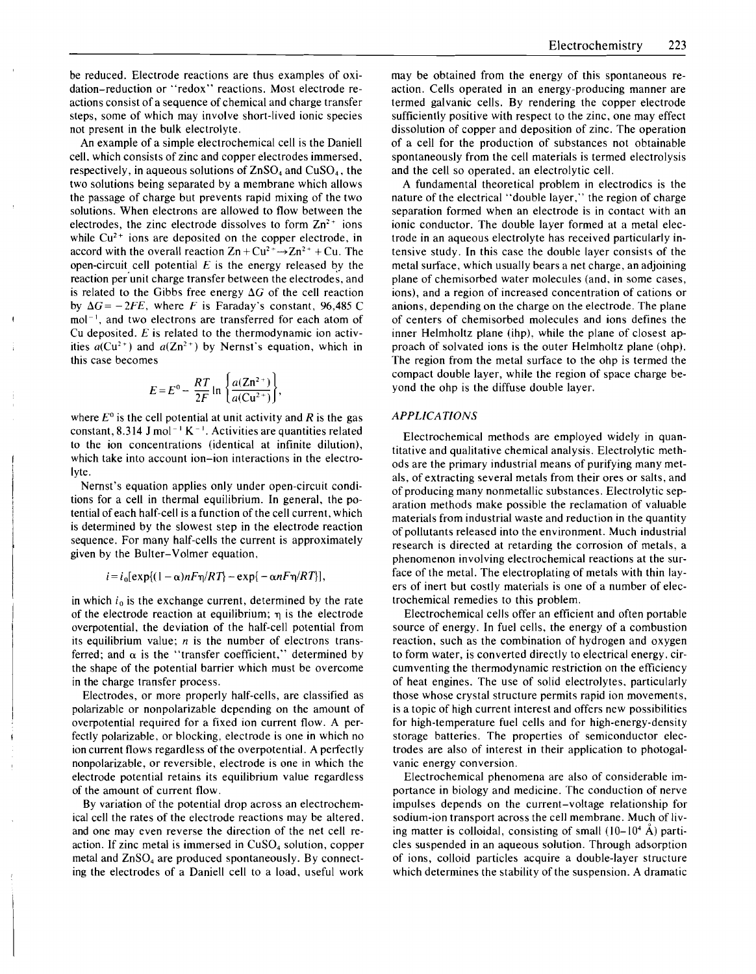be reduced. Electrode reactions are thus examples of oxidation-reduction or "redox" reactions. Most electrode reactions consist of a sequence of chemical and charge transfer steps, some of which may involve short-lived ionic species not present in the bulk electrolyte.

An example of a simple electrochemical cell is the Daniell cell. which consists of zinc and copper electrodes immersed, respectively, in aqueous solutions of  $\text{ZnSO}_4$  and  $\text{CuSO}_4$ , the two solutions being separated by a membrane which allows the passage of charge but prevents rapid mixing of the two solutions. When electrons are allowed to flow between the electrodes, the zinc electrode dissolves to form  $\mathbb{Z}n^{2+}$  ions while  $Cu^{2+}$  ions are deposited on the copper electrode, in accord with the overall reaction  $\text{Zn} + \text{Cu}^{2+} \rightarrow \text{Zn}^{2+} + \text{Cu}$ . The open-circuit cell potential  $E$  is the energy released by the reaction per unit charge transfer between the electrodes, and is related to the Gibbs free energy  $\Delta G$  of the cell reaction by  $\Delta G = -2FE$ , where F is Faraday's constant, 96,485 C mol<sup>-1</sup>, and two electrons are transferred for each atom of Cu deposited.  $E$  is related to the thermodynamic ion activities  $a(Cu^{2+})$  and  $a(Zn^{2+})$  by Nernst's equation, which in this case becomes

$$
E = E^0 - \frac{RT}{2F} \ln \left\{ \frac{a(Zn^{2+})}{a(Cu^{2+})} \right\},\,
$$

where  $E^0$  is the cell potential at unit activity and R is the gas constant,  $8.314$  J mol<sup>-1</sup> K<sup>-1</sup>. Activities are quantities related to the ion concentrations (identical at infinite dilution), which take into account ion-ion interactions in the electrolyte.

Nernst's equation applies only under open-circuit conditions for a cell in thermal equilibrium. In general, the potential of each half-cell is a function of the cell current, which is determined by the slowest step in the electrode reaction sequence. For many half-cells the current is approximately given by the Bulter- Volmer equation,

$$
i = i0[exp{(1-\alpha)nF\eta/RT} - exp{-\alpha nF\eta/RT}],
$$

in which  $i_0$  is the exchange current, determined by the rate of the electrode reaction at equilibrium;  $\eta$  is the electrode overpotential, the deviation of the half-cell potential from its equilibrium value; *n* is the number of electrons transferred; and  $\alpha$  is the "transfer coefficient," determined by the shape of the potential barrier which must be overcome in the charge transfer process.

Electrodes, or more properly half-cells, are classified as polarizable or nonpolarizable depending on the amount of overpotential required for a fixed ion current flow. A perfectly polarizable, or blocking, electrode is one in which no ion current flows regardless of the overpotential. A perfectly nonpolarizable, or reversible, electrode is one in which the electrode potential retains its equilibrium value regardless of the amount of current flow.

By variation of the potential drop across an electrochemical cell the rates of the electrode reactions may be altered, and one may even reverse the direction of the net cell reaction. If zinc metal is immersed in  $CuSO<sub>4</sub>$  solution, copper metal and  $ZnSO<sub>4</sub>$  are produced spontaneously. By connecting the electrodes of a Daniell cell to a load, useful work may be obtained from the energy of this spontaneous reaction. Cells operated in an energy-producing manner are termed galvanic cells. By rendering the copper electrode sufficiently positive with respect to the zinc, one may effect dissolution of copper and deposition of zinc. The operation of a cell for the production of substances not obtainable spontaneously from the cell materials is termed electrolysis and the cell so operated, an electrolytic cell.

A fundamental theoretical problem in electrodics is the nature of the electrical "double layer," the region of charge separation formed when an electrode is in contact with an ionic conductor. The double layer formed at a metal electrode in an aqueous electrolyte has received particularly intensive study. In this case the double layer consists of the metal surface, which usually bears a net charge, an adjoining plane of chemisorbed water molecules (and, in some cases, ions), and a region of increased concentration of cations or anions, depending on the charge on the electrode. The plane of centers of chemisorbed molecules and ions defines the inner Helmholtz plane (ihp), while the plane of closest approach of solvated ions is the outer Helmholtz plane (ohp). The region from the metal surface to the ohp is termed the compact double layer, while the region of space charge beyond the ohp is the diffuse double layer.

### *APPLICATIONS*

Electrochemical methods are employed widely in quantitative and qualitative chemical analysis. Electrolytic methods are the primary industrial means of purifying many metals, of extracting several metals from their ores or salts, and of producing many nonmetallic substances. Electrolytic separation methods make possible the reclamation of valuable materials from industrial waste and reduction in the quantity of pollutants released into the environment. Much industrial research is directed at retarding the corrosion of metals, a phenomenon involving electrochemical reactions at the surface of the metal. The electroplating of metals with thin layers of inert but costly materials is one of a number of electrochemical remedies to this problem.

Electrochemical cells offer an efficient and often portable source of energy. In fuel cells, the energy of a combustion reaction, such as the combination of hydrogen and oxygen to form water, is converted directly to electrical energy, circumventing the thermodynamic restriction on the efficiency of heat engines. The use of solid electrolytes, particularly those whose crystal structure permits rapid ion movements, is a topic of high current interest and offers new possibilities for high-temperature fuel cells and for high-energy-density storage batteries. The properties of semiconductor electrodes are also of interest in their application to photogalvanic energy conversion.

Electrochemical phenomena are also of considerable importance in biology and medicine. The conduction of nerve impulses depends on the current-voltage relationship for sodium-ion transport across the cell membrane. Much of living matter is colloidal, consisting of small  $(10-10^4 \text{ Å})$  particles suspended in an aqueous solution. Through adsorption of ions, colloid particles acquire a double-layer structure which determines the stability of the suspension. A dramatic